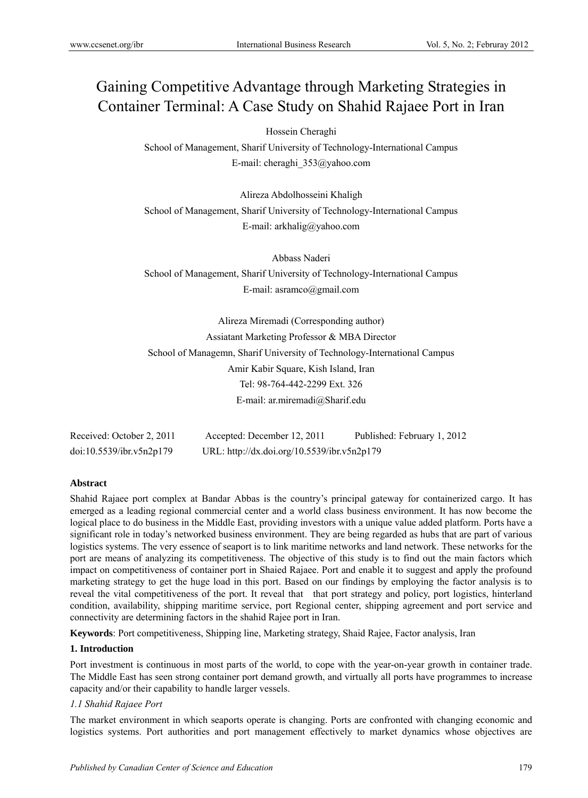# Gaining Competitive Advantage through Marketing Strategies in Container Terminal: A Case Study on Shahid Rajaee Port in Iran

Hossein Cheraghi

School of Management, Sharif University of Technology-International Campus E-mail: cheraghi\_353@yahoo.com

Alireza Abdolhosseini Khaligh School of Management, Sharif University of Technology-International Campus E-mail: arkhalig@yahoo.com

Abbass Naderi School of Management, Sharif University of Technology-International Campus E-mail: asramco@gmail.com

Alireza Miremadi (Corresponding author) Assiatant Marketing Professor & MBA Director School of Managemn, Sharif University of Technology-International Campus Amir Kabir Square, Kish Island, Iran Tel: 98-764-442-2299 Ext. 326 E-mail: ar.miremadi@Sharif.edu

| Received: October 2, 2011 | Accepted: December 12, 2011                 | Published: February 1, 2012 |
|---------------------------|---------------------------------------------|-----------------------------|
| doi:10.5539/ibr.v5n2p179  | URL: http://dx.doi.org/10.5539/ibr.v5n2p179 |                             |

## **Abstract**

Shahid Rajaee port complex at Bandar Abbas is the country's principal gateway for containerized cargo. It has emerged as a leading regional commercial center and a world class business environment. It has now become the logical place to do business in the Middle East, providing investors with a unique value added platform. Ports have a significant role in today's networked business environment. They are being regarded as hubs that are part of various logistics systems. The very essence of seaport is to link maritime networks and land network. These networks for the port are means of analyzing its competitiveness. The objective of this study is to find out the main factors which impact on competitiveness of container port in Shaied Rajaee. Port and enable it to suggest and apply the profound marketing strategy to get the huge load in this port. Based on our findings by employing the factor analysis is to reveal the vital competitiveness of the port. It reveal that that port strategy and policy, port logistics, hinterland condition, availability, shipping maritime service, port Regional center, shipping agreement and port service and connectivity are determining factors in the shahid Rajee port in Iran.

**Keywords**: Port competitiveness, Shipping line, Marketing strategy, Shaid Rajee, Factor analysis, Iran

#### **1. Introduction**

Port investment is continuous in most parts of the world, to cope with the year-on-year growth in container trade. The Middle East has seen strong container port demand growth, and virtually all ports have programmes to increase capacity and/or their capability to handle larger vessels.

## *1.1 Shahid Rajaee Port*

The market environment in which seaports operate is changing. Ports are confronted with changing economic and logistics systems. Port authorities and port management effectively to market dynamics whose objectives are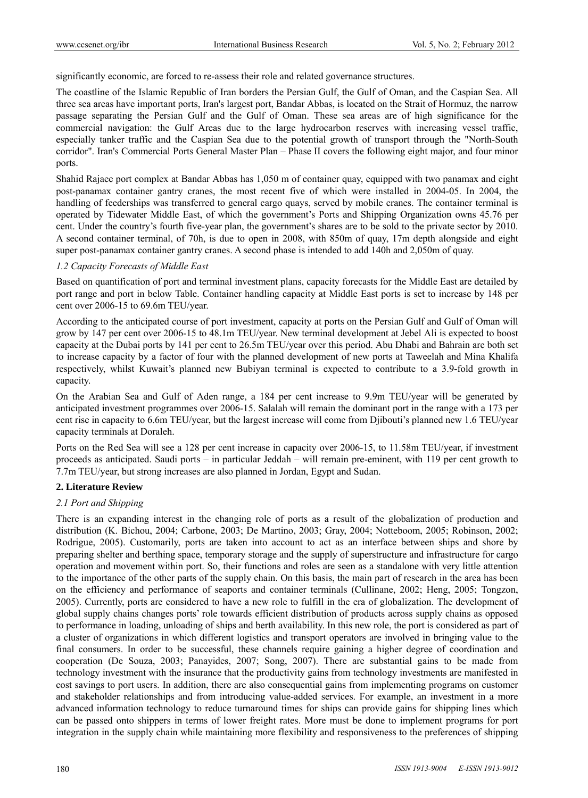significantly economic, are forced to re-assess their role and related governance structures.

The coastline of the Islamic Republic of Iran borders the Persian Gulf, the Gulf of Oman, and the Caspian Sea. All three sea areas have important ports, Iran's largest port, Bandar Abbas, is located on the Strait of Hormuz, the narrow passage separating the Persian Gulf and the Gulf of Oman. These sea areas are of high significance for the commercial navigation: the Gulf Areas due to the large hydrocarbon reserves with increasing vessel traffic, especially tanker traffic and the Caspian Sea due to the potential growth of transport through the "North-South corridor". Iran's Commercial Ports General Master Plan – Phase II covers the following eight major, and four minor ports.

Shahid Rajaee port complex at Bandar Abbas has 1,050 m of container quay, equipped with two panamax and eight post-panamax container gantry cranes, the most recent five of which were installed in 2004-05. In 2004, the handling of feederships was transferred to general cargo quays, served by mobile cranes. The container terminal is operated by Tidewater Middle East, of which the government's Ports and Shipping Organization owns 45.76 per cent. Under the country's fourth five-year plan, the government's shares are to be sold to the private sector by 2010. A second container terminal, of 70h, is due to open in 2008, with 850m of quay, 17m depth alongside and eight super post-panamax container gantry cranes. A second phase is intended to add 140h and 2,050m of quay.

#### *1.2 Capacity Forecasts of Middle East*

Based on quantification of port and terminal investment plans, capacity forecasts for the Middle East are detailed by port range and port in below Table. Container handling capacity at Middle East ports is set to increase by 148 per cent over 2006-15 to 69.6m TEU/year.

According to the anticipated course of port investment, capacity at ports on the Persian Gulf and Gulf of Oman will grow by 147 per cent over 2006-15 to 48.1m TEU/year. New terminal development at Jebel Ali is expected to boost capacity at the Dubai ports by 141 per cent to 26.5m TEU/year over this period. Abu Dhabi and Bahrain are both set to increase capacity by a factor of four with the planned development of new ports at Taweelah and Mina Khalifa respectively, whilst Kuwait's planned new Bubiyan terminal is expected to contribute to a 3.9-fold growth in capacity.

On the Arabian Sea and Gulf of Aden range, a 184 per cent increase to 9.9m TEU/year will be generated by anticipated investment programmes over 2006-15. Salalah will remain the dominant port in the range with a 173 per cent rise in capacity to 6.6m TEU/year, but the largest increase will come from Djibouti's planned new 1.6 TEU/year capacity terminals at Doraleh.

Ports on the Red Sea will see a 128 per cent increase in capacity over 2006-15, to 11.58m TEU/year, if investment proceeds as anticipated. Saudi ports – in particular Jeddah – will remain pre-eminent, with 119 per cent growth to 7.7m TEU/year, but strong increases are also planned in Jordan, Egypt and Sudan.

## **2. Literature Review**

#### *2.1 Port and Shipping*

There is an expanding interest in the changing role of ports as a result of the globalization of production and distribution (K. Bichou, 2004; Carbone, 2003; De Martino, 2003; Gray, 2004; Notteboom, 2005; Robinson, 2002; Rodrigue, 2005). Customarily, ports are taken into account to act as an interface between ships and shore by preparing shelter and berthing space, temporary storage and the supply of superstructure and infrastructure for cargo operation and movement within port. So, their functions and roles are seen as a standalone with very little attention to the importance of the other parts of the supply chain. On this basis, the main part of research in the area has been on the efficiency and performance of seaports and container terminals (Cullinane, 2002; Heng, 2005; Tongzon, 2005). Currently, ports are considered to have a new role to fulfill in the era of globalization. The development of global supply chains changes ports' role towards efficient distribution of products across supply chains as opposed to performance in loading, unloading of ships and berth availability. In this new role, the port is considered as part of a cluster of organizations in which different logistics and transport operators are involved in bringing value to the final consumers. In order to be successful, these channels require gaining a higher degree of coordination and cooperation (De Souza, 2003; Panayides, 2007; Song, 2007). There are substantial gains to be made from technology investment with the insurance that the productivity gains from technology investments are manifested in cost savings to port users. In addition, there are also consequential gains from implementing programs on customer and stakeholder relationships and from introducing value-added services. For example, an investment in a more advanced information technology to reduce turnaround times for ships can provide gains for shipping lines which can be passed onto shippers in terms of lower freight rates. More must be done to implement programs for port integration in the supply chain while maintaining more flexibility and responsiveness to the preferences of shipping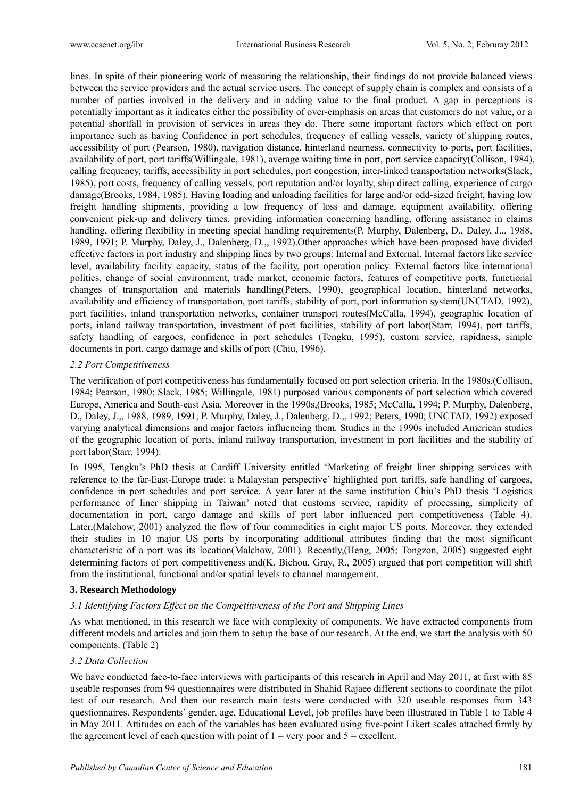lines. In spite of their pioneering work of measuring the relationship, their findings do not provide balanced views between the service providers and the actual service users. The concept of supply chain is complex and consists of a number of parties involved in the delivery and in adding value to the final product. A gap in perceptions is potentially important as it indicates either the possibility of over-emphasis on areas that customers do not value, or a potential shortfall in provision of services in areas they do. There some important factors which effect on port importance such as having Confidence in port schedules, frequency of calling vessels, variety of shipping routes, accessibility of port (Pearson, 1980), navigation distance, hinterland nearness, connectivity to ports, port facilities, availability of port, port tariffs(Willingale, 1981), average waiting time in port, port service capacity(Collison, 1984), calling frequency, tariffs, accessibility in port schedules, port congestion, inter-linked transportation networks(Slack, 1985), port costs, frequency of calling vessels, port reputation and/or loyalty, ship direct calling, experience of cargo damage(Brooks, 1984, 1985). Having loading and unloading facilities for large and/or odd-sized freight, having low freight handling shipments, providing a low frequency of loss and damage, equipment availability, offering convenient pick-up and delivery times, providing information concerning handling, offering assistance in claims handling, offering flexibility in meeting special handling requirements(P. Murphy, Dalenberg, D., Daley, J.,, 1988, 1989, 1991; P. Murphy, Daley, J., Dalenberg, D.,, 1992).Other approaches which have been proposed have divided effective factors in port industry and shipping lines by two groups: Internal and External. Internal factors like service level, availability facility capacity, status of the facility, port operation policy. External factors like international politics, change of social environment, trade market, economic factors, features of competitive ports, functional changes of transportation and materials handling(Peters, 1990), geographical location, hinterland networks, availability and efficiency of transportation, port tariffs, stability of port, port information system(UNCTAD, 1992), port facilities, inland transportation networks, container transport routes(McCalla, 1994), geographic location of ports, inland railway transportation, investment of port facilities, stability of port labor(Starr, 1994), port tariffs, safety handling of cargoes, confidence in port schedules (Tengku, 1995), custom service, rapidness, simple documents in port, cargo damage and skills of port (Chiu, 1996).

#### *2.2 Port Competitiveness*

The verification of port competitiveness has fundamentally focused on port selection criteria. In the 1980s,(Collison, 1984; Pearson, 1980; Slack, 1985; Willingale, 1981) purposed various components of port selection which covered Europe, America and South-east Asia. Moreover in the 1990s,(Brooks, 1985; McCalla, 1994; P. Murphy, Dalenberg, D., Daley, J.,, 1988, 1989, 1991; P. Murphy, Daley, J., Dalenberg, D.,, 1992; Peters, 1990; UNCTAD, 1992) exposed varying analytical dimensions and major factors influencing them. Studies in the 1990s included American studies of the geographic location of ports, inland railway transportation, investment in port facilities and the stability of port labor(Starr, 1994).

In 1995, Tengku's PhD thesis at Cardiff University entitled 'Marketing of freight liner shipping services with reference to the far-East-Europe trade: a Malaysian perspective' highlighted port tariffs, safe handling of cargoes, confidence in port schedules and port service. A year later at the same institution Chiu's PhD thesis 'Logistics performance of liner shipping in Taiwan' noted that customs service, rapidity of processing, simplicity of documentation in port, cargo damage and skills of port labor influenced port competitiveness (Table 4). Later,(Malchow, 2001) analyzed the flow of four commodities in eight major US ports. Moreover, they extended their studies in 10 major US ports by incorporating additional attributes finding that the most significant characteristic of a port was its location(Malchow, 2001). Recently,(Heng, 2005; Tongzon, 2005) suggested eight determining factors of port competitiveness and(K. Bichou, Gray, R., 2005) argued that port competition will shift from the institutional, functional and/or spatial levels to channel management.

#### **3. Research Methodology**

#### *3.1 Identifying Factors Effect on the Competitiveness of the Port and Shipping Lines*

As what mentioned, in this research we face with complexity of components. We have extracted components from different models and articles and join them to setup the base of our research. At the end, we start the analysis with 50 components. (Table 2)

#### *3.2 Data Collection*

We have conducted face-to-face interviews with participants of this research in April and May 2011, at first with 85 useable responses from 94 questionnaires were distributed in Shahid Rajaee different sections to coordinate the pilot test of our research. And then our research main tests were conducted with 320 useable responses from 343 questionnaires. Respondents' gender, age, Educational Level, job profiles have been illustrated in Table 1 to Table 4 in May 2011. Attitudes on each of the variables has been evaluated using five-point Likert scales attached firmly by the agreement level of each question with point of  $1 =$  very poor and  $5 =$  excellent.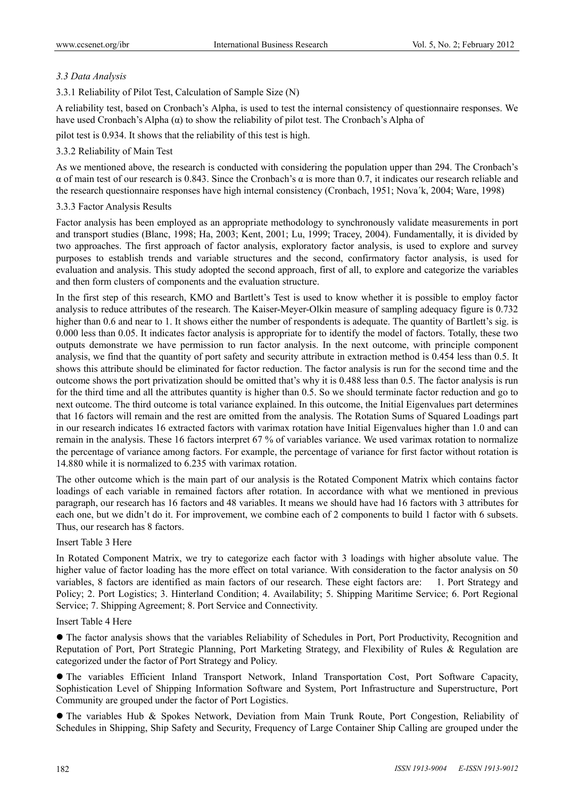## *3.3 Data Analysis*

## 3.3.1 Reliability of Pilot Test, Calculation of Sample Size (N)

A reliability test, based on Cronbach's Alpha, is used to test the internal consistency of questionnaire responses. We have used Cronbach's Alpha  $(\alpha)$  to show the reliability of pilot test. The Cronbach's Alpha of

pilot test is 0.934. It shows that the reliability of this test is high.

## 3.3.2 Reliability of Main Test

As we mentioned above, the research is conducted with considering the population upper than 294. The Cronbach's α of main test of our research is 0.843. Since the Cronbach's α is more than 0.7, it indicates our research reliable and the research questionnaire responses have high internal consistency (Cronbach, 1951; Nova´k, 2004; Ware, 1998)

#### 3.3.3 Factor Analysis Results

Factor analysis has been employed as an appropriate methodology to synchronously validate measurements in port and transport studies (Blanc, 1998; Ha, 2003; Kent, 2001; Lu, 1999; Tracey, 2004). Fundamentally, it is divided by two approaches. The first approach of factor analysis, exploratory factor analysis, is used to explore and survey purposes to establish trends and variable structures and the second, confirmatory factor analysis, is used for evaluation and analysis. This study adopted the second approach, first of all, to explore and categorize the variables and then form clusters of components and the evaluation structure.

In the first step of this research, KMO and Bartlett's Test is used to know whether it is possible to employ factor analysis to reduce attributes of the research. The Kaiser-Meyer-Olkin measure of sampling adequacy figure is 0.732 higher than 0.6 and near to 1. It shows either the number of respondents is adequate. The quantity of Bartlett's sig. is 0.000 less than 0.05. It indicates factor analysis is appropriate for to identify the model of factors. Totally, these two outputs demonstrate we have permission to run factor analysis. In the next outcome, with principle component analysis, we find that the quantity of port safety and security attribute in extraction method is 0.454 less than 0.5. It shows this attribute should be eliminated for factor reduction. The factor analysis is run for the second time and the outcome shows the port privatization should be omitted that's why it is 0.488 less than 0.5. The factor analysis is run for the third time and all the attributes quantity is higher than 0.5. So we should terminate factor reduction and go to next outcome. The third outcome is total variance explained. In this outcome, the Initial Eigenvalues part determines that 16 factors will remain and the rest are omitted from the analysis. The Rotation Sums of Squared Loadings part in our research indicates 16 extracted factors with varimax rotation have Initial Eigenvalues higher than 1.0 and can remain in the analysis. These 16 factors interpret 67 % of variables variance. We used varimax rotation to normalize the percentage of variance among factors. For example, the percentage of variance for first factor without rotation is 14.880 while it is normalized to 6.235 with varimax rotation.

The other outcome which is the main part of our analysis is the Rotated Component Matrix which contains factor loadings of each variable in remained factors after rotation. In accordance with what we mentioned in previous paragraph, our research has 16 factors and 48 variables. It means we should have had 16 factors with 3 attributes for each one, but we didn't do it. For improvement, we combine each of 2 components to build 1 factor with 6 subsets. Thus, our research has 8 factors.

#### Insert Table 3 Here

In Rotated Component Matrix, we try to categorize each factor with 3 loadings with higher absolute value. The higher value of factor loading has the more effect on total variance. With consideration to the factor analysis on 50 variables, 8 factors are identified as main factors of our research. These eight factors are: 1. Port Strategy and Policy; 2. Port Logistics; 3. Hinterland Condition; 4. Availability; 5. Shipping Maritime Service; 6. Port Regional Service; 7. Shipping Agreement; 8. Port Service and Connectivity.

#### Insert Table 4 Here

 The factor analysis shows that the variables Reliability of Schedules in Port, Port Productivity, Recognition and Reputation of Port, Port Strategic Planning, Port Marketing Strategy, and Flexibility of Rules & Regulation are categorized under the factor of Port Strategy and Policy.

 The variables Efficient Inland Transport Network, Inland Transportation Cost, Port Software Capacity, Sophistication Level of Shipping Information Software and System, Port Infrastructure and Superstructure, Port Community are grouped under the factor of Port Logistics.

 The variables Hub & Spokes Network, Deviation from Main Trunk Route, Port Congestion, Reliability of Schedules in Shipping, Ship Safety and Security, Frequency of Large Container Ship Calling are grouped under the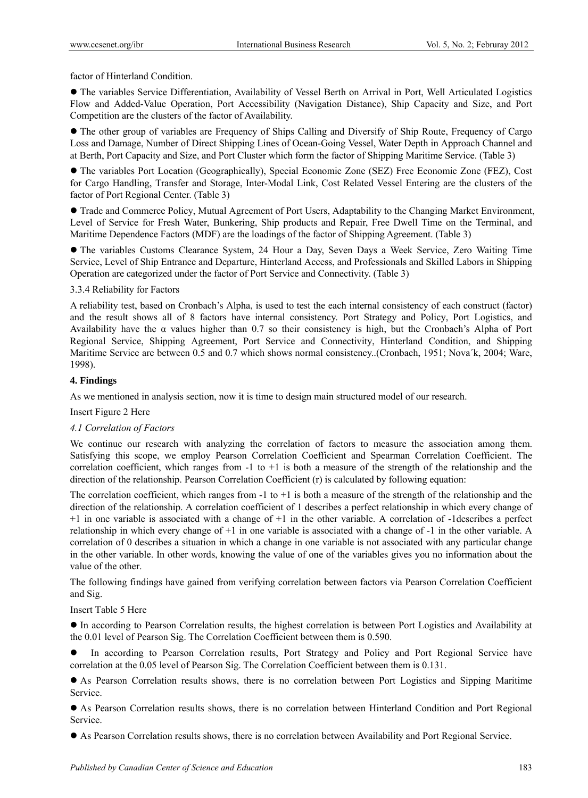factor of Hinterland Condition.

 The variables Service Differentiation, Availability of Vessel Berth on Arrival in Port, Well Articulated Logistics Flow and Added-Value Operation, Port Accessibility (Navigation Distance), Ship Capacity and Size, and Port Competition are the clusters of the factor of Availability.

 The other group of variables are Frequency of Ships Calling and Diversify of Ship Route, Frequency of Cargo Loss and Damage, Number of Direct Shipping Lines of Ocean-Going Vessel, Water Depth in Approach Channel and at Berth, Port Capacity and Size, and Port Cluster which form the factor of Shipping Maritime Service. (Table 3)

 The variables Port Location (Geographically), Special Economic Zone (SEZ) Free Economic Zone (FEZ), Cost for Cargo Handling, Transfer and Storage, Inter-Modal Link, Cost Related Vessel Entering are the clusters of the factor of Port Regional Center. (Table 3)

 Trade and Commerce Policy, Mutual Agreement of Port Users, Adaptability to the Changing Market Environment, Level of Service for Fresh Water, Bunkering, Ship products and Repair, Free Dwell Time on the Terminal, and Maritime Dependence Factors (MDF) are the loadings of the factor of Shipping Agreement. (Table 3)

 The variables Customs Clearance System, 24 Hour a Day, Seven Days a Week Service, Zero Waiting Time Service, Level of Ship Entrance and Departure, Hinterland Access, and Professionals and Skilled Labors in Shipping Operation are categorized under the factor of Port Service and Connectivity. (Table 3)

#### 3.3.4 Reliability for Factors

A reliability test, based on Cronbach's Alpha, is used to test the each internal consistency of each construct (factor) and the result shows all of 8 factors have internal consistency. Port Strategy and Policy, Port Logistics, and Availability have the  $\alpha$  values higher than 0.7 so their consistency is high, but the Cronbach's Alpha of Port Regional Service, Shipping Agreement, Port Service and Connectivity, Hinterland Condition, and Shipping Maritime Service are between 0.5 and 0.7 which shows normal consistency..(Cronbach, 1951; Nova´k, 2004; Ware, 1998).

#### **4. Findings**

As we mentioned in analysis section, now it is time to design main structured model of our research.

#### Insert Figure 2 Here

#### *4.1 Correlation of Factors*

We continue our research with analyzing the correlation of factors to measure the association among them. Satisfying this scope, we employ Pearson Correlation Coefficient and Spearman Correlation Coefficient. The correlation coefficient, which ranges from  $-1$  to  $+1$  is both a measure of the strength of the relationship and the direction of the relationship. Pearson Correlation Coefficient (r) is calculated by following equation:

The correlation coefficient, which ranges from  $-1$  to  $+1$  is both a measure of the strength of the relationship and the direction of the relationship. A correlation coefficient of 1 describes a perfect relationship in which every change of +1 in one variable is associated with a change of +1 in the other variable. A correlation of -1describes a perfect relationship in which every change of +1 in one variable is associated with a change of -1 in the other variable. A correlation of 0 describes a situation in which a change in one variable is not associated with any particular change in the other variable. In other words, knowing the value of one of the variables gives you no information about the value of the other.

The following findings have gained from verifying correlation between factors via Pearson Correlation Coefficient and Sig.

#### Insert Table 5 Here

 In according to Pearson Correlation results, the highest correlation is between Port Logistics and Availability at the 0.01 level of Pearson Sig. The Correlation Coefficient between them is 0.590.

 In according to Pearson Correlation results, Port Strategy and Policy and Port Regional Service have correlation at the 0.05 level of Pearson Sig. The Correlation Coefficient between them is 0.131.

 As Pearson Correlation results shows, there is no correlation between Port Logistics and Sipping Maritime Service.

 As Pearson Correlation results shows, there is no correlation between Hinterland Condition and Port Regional Service.

As Pearson Correlation results shows, there is no correlation between Availability and Port Regional Service.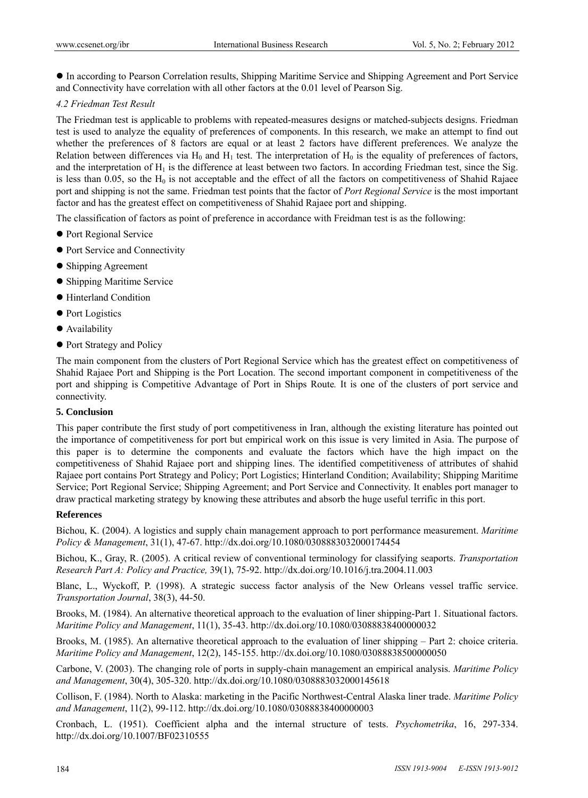In according to Pearson Correlation results, Shipping Maritime Service and Shipping Agreement and Port Service and Connectivity have correlation with all other factors at the 0.01 level of Pearson Sig.

#### *4.2 Friedman Test Result*

The Friedman test is applicable to problems with repeated-measures designs or matched-subjects designs. Friedman test is used to analyze the equality of preferences of components. In this research, we make an attempt to find out whether the preferences of 8 factors are equal or at least 2 factors have different preferences. We analyze the Relation between differences via  $H_0$  and  $H_1$  test. The interpretation of  $H_0$  is the equality of preferences of factors, and the interpretation of  $H_1$  is the difference at least between two factors. In according Friedman test, since the Sig. is less than 0.05, so the  $H_0$  is not acceptable and the effect of all the factors on competitiveness of Shahid Rajaee port and shipping is not the same. Friedman test points that the factor of *Port Regional Service* is the most important factor and has the greatest effect on competitiveness of Shahid Rajaee port and shipping.

The classification of factors as point of preference in accordance with Freidman test is as the following:

- **Port Regional Service**
- **Port Service and Connectivity**
- Shipping Agreement
- Shipping Maritime Service
- Hinterland Condition
- Port Logistics
- Availability
- Port Strategy and Policy

The main component from the clusters of Port Regional Service which has the greatest effect on competitiveness of Shahid Rajaee Port and Shipping is the Port Location. The second important component in competitiveness of the port and shipping is Competitive Advantage of Port in Ships Route*.* It is one of the clusters of port service and connectivity.

#### **5. Conclusion**

This paper contribute the first study of port competitiveness in Iran, although the existing literature has pointed out the importance of competitiveness for port but empirical work on this issue is very limited in Asia. The purpose of this paper is to determine the components and evaluate the factors which have the high impact on the competitiveness of Shahid Rajaee port and shipping lines. The identified competitiveness of attributes of shahid Rajaee port contains Port Strategy and Policy; Port Logistics; Hinterland Condition; Availability; Shipping Maritime Service; Port Regional Service; Shipping Agreement; and Port Service and Connectivity. It enables port manager to draw practical marketing strategy by knowing these attributes and absorb the huge useful terrific in this port.

#### **References**

Bichou, K. (2004). A logistics and supply chain management approach to port performance measurement. *Maritime Policy & Management*, 31(1), 47-67. http://dx.doi.org/10.1080/0308883032000174454

Bichou, K., Gray, R. (2005). A critical review of conventional terminology for classifying seaports. *Transportation Research Part A: Policy and Practice,* 39(1), 75-92. http://dx.doi.org/10.1016/j.tra.2004.11.003

Blanc, L., Wyckoff, P. (1998). A strategic success factor analysis of the New Orleans vessel traffic service. *Transportation Journal*, 38(3), 44-50.

Brooks, M. (1984). An alternative theoretical approach to the evaluation of liner shipping-Part 1. Situational factors. *Maritime Policy and Management*, 11(1), 35-43. http://dx.doi.org/10.1080/03088838400000032

Brooks, M. (1985). An alternative theoretical approach to the evaluation of liner shipping – Part 2: choice criteria. *Maritime Policy and Management*, 12(2), 145-155. http://dx.doi.org/10.1080/03088838500000050

Carbone, V. (2003). The changing role of ports in supply-chain management an empirical analysis. *Maritime Policy and Management*, 30(4), 305-320. http://dx.doi.org/10.1080/0308883032000145618

Collison, F. (1984). North to Alaska: marketing in the Pacific Northwest-Central Alaska liner trade. *Maritime Policy and Management*, 11(2), 99-112. http://dx.doi.org/10.1080/03088838400000003

Cronbach, L. (1951). Coefficient alpha and the internal structure of tests. *Psychometrika*, 16, 297-334. http://dx.doi.org/10.1007/BF02310555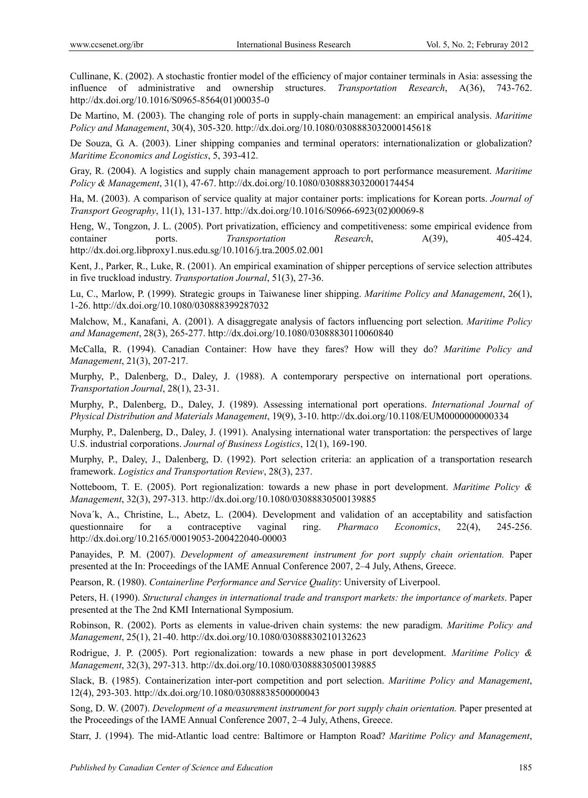Cullinane, K. (2002). A stochastic frontier model of the efficiency of major container terminals in Asia: assessing the influence of administrative and ownership structures. *Transportation Research*, A(36), 743-762. http://dx.doi.org/10.1016/S0965-8564(01)00035-0

De Martino, M. (2003). The changing role of ports in supply-chain management: an empirical analysis. *Maritime Policy and Management*, 30(4), 305-320. http://dx.doi.org/10.1080/0308883032000145618

De Souza, G. A. (2003). Liner shipping companies and terminal operators: internationalization or globalization? *Maritime Economics and Logistics*, 5, 393-412.

Gray, R. (2004). A logistics and supply chain management approach to port performance measurement. *Maritime Policy & Management*, 31(1), 47-67. http://dx.doi.org/10.1080/0308883032000174454

Ha, M. (2003). A comparison of service quality at major container ports: implications for Korean ports. *Journal of Transport Geography*, 11(1), 131-137. http://dx.doi.org/10.1016/S0966-6923(02)00069-8

Heng, W., Tongzon, J. L. (2005). Port privatization, efficiency and competitiveness: some empirical evidence from container ports. *Transportation Research*, A(39), 405-424. http://dx.doi.org.libproxy1.nus.edu.sg/10.1016/j.tra.2005.02.001

Kent, J., Parker, R., Luke, R. (2001). An empirical examination of shipper perceptions of service selection attributes in five truckload industry. *Transportation Journal*, 51(3), 27-36.

Lu, C., Marlow, P. (1999). Strategic groups in Taiwanese liner shipping. *Maritime Policy and Management*, 26(1), 1-26. http://dx.doi.org/10.1080/030888399287032

Malchow, M., Kanafani, A. (2001). A disaggregate analysis of factors influencing port selection. *Maritime Policy and Management*, 28(3), 265-277. http://dx.doi.org/10.1080/03088830110060840

McCalla, R. (1994). Canadian Container: How have they fares? How will they do? *Maritime Policy and Management*, 21(3), 207-217.

Murphy, P., Dalenberg, D., Daley, J. (1988). A contemporary perspective on international port operations. *Transportation Journal*, 28(1), 23-31.

Murphy, P., Dalenberg, D., Daley, J. (1989). Assessing international port operations. *International Journal of Physical Distribution and Materials Management*, 19(9), 3-10. http://dx.doi.org/10.1108/EUM0000000000334

Murphy, P., Dalenberg, D., Daley, J. (1991). Analysing international water transportation: the perspectives of large U.S. industrial corporations. *Journal of Business Logistics*, 12(1), 169-190.

Murphy, P., Daley, J., Dalenberg, D. (1992). Port selection criteria: an application of a transportation research framework. *Logistics and Transportation Review*, 28(3), 237.

Notteboom, T. E. (2005). Port regionalization: towards a new phase in port development. *Maritime Policy & Management*, 32(3), 297-313. http://dx.doi.org/10.1080/03088830500139885

Nova´k, A., Christine, L., Abetz, L. (2004). Development and validation of an acceptability and satisfaction questionnaire for a contraceptive vaginal ring. *Pharmaco Economics*, 22(4), 245-256. http://dx.doi.org/10.2165/00019053-200422040-00003

Panayides, P. M. (2007). *Development of ameasurement instrument for port supply chain orientation.* Paper presented at the In: Proceedings of the IAME Annual Conference 2007, 2–4 July, Athens, Greece.

Pearson, R. (1980). *Containerline Performance and Service Quality*: University of Liverpool.

Peters, H. (1990). *Structural changes in international trade and transport markets: the importance of markets*. Paper presented at the The 2nd KMI International Symposium.

Robinson, R. (2002). Ports as elements in value-driven chain systems: the new paradigm. *Maritime Policy and Management*, 25(1), 21-40. http://dx.doi.org/10.1080/03088830210132623

Rodrigue, J. P. (2005). Port regionalization: towards a new phase in port development. *Maritime Policy & Management*, 32(3), 297-313. http://dx.doi.org/10.1080/03088830500139885

Slack, B. (1985). Containerization inter-port competition and port selection. *Maritime Policy and Management*, 12(4), 293-303. http://dx.doi.org/10.1080/03088838500000043

Song, D. W. (2007). *Development of a measurement instrument for port supply chain orientation.* Paper presented at the Proceedings of the IAME Annual Conference 2007, 2–4 July, Athens, Greece.

Starr, J. (1994). The mid-Atlantic load centre: Baltimore or Hampton Road? *Maritime Policy and Management*,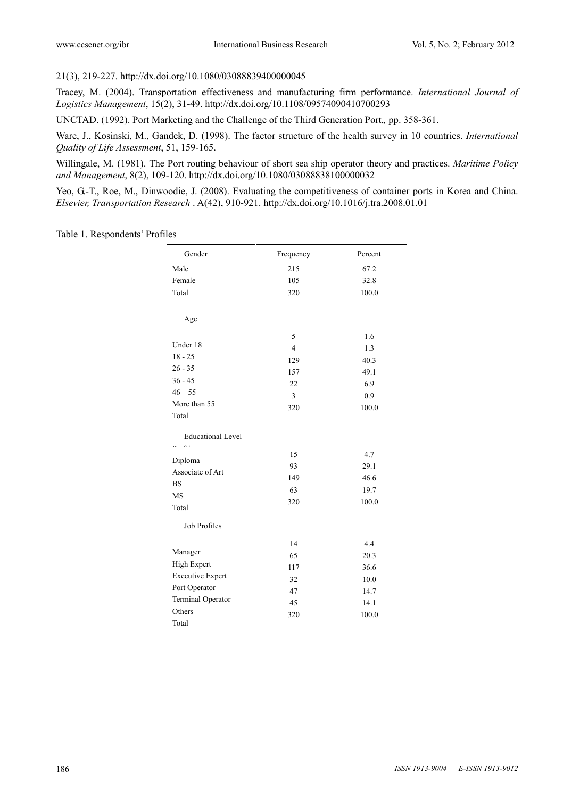#### 21(3), 219-227. http://dx.doi.org/10.1080/03088839400000045

Tracey, M. (2004). Transportation effectiveness and manufacturing firm performance. *International Journal of Logistics Management*, 15(2), 31-49. http://dx.doi.org/10.1108/09574090410700293

UNCTAD. (1992). Port Marketing and the Challenge of the Third Generation Port,*,* pp. 358-361.

Ware, J., Kosinski, M., Gandek, D. (1998). The factor structure of the health survey in 10 countries. *International Quality of Life Assessment*, 51, 159-165.

Willingale, M. (1981). The Port routing behaviour of short sea ship operator theory and practices. *Maritime Policy and Management*, 8(2), 109-120. http://dx.doi.org/10.1080/03088838100000032

Yeo, G.-T., Roe, M., Dinwoodie, J. (2008). Evaluating the competitiveness of container ports in Korea and China. *Elsevier, Transportation Research* . A(42), 910-921. http://dx.doi.org/10.1016/j.tra.2008.01.01

Table 1. Respondents' Profiles

| Gender                             | Frequency      | Percent |
|------------------------------------|----------------|---------|
| Male                               | 215            | 67.2    |
| Female                             | 105            | 32.8    |
| Total                              | 320            | 100.0   |
| Age                                | 5              | 1.6     |
| Under 18                           | $\overline{4}$ | 1.3     |
| $18 - 25$                          | 129            | 40.3    |
| $26 - 35$                          | 157            | 49.1    |
| $36 - 45$                          | 22             | 6.9     |
| $46 - 55$                          | 3              | 0.9     |
| More than 55                       | 320            | 100.0   |
| Total                              |                |         |
| <b>Educational Level</b><br>$\sim$ |                |         |
| Diploma                            | 15             | 4.7     |
| Associate of Art                   | 93             | 29.1    |
| <b>BS</b>                          | 149            | 46.6    |
| <b>MS</b>                          | 63             | 19.7    |
| Total                              | 320            | 100.0   |
| Job Profiles                       |                |         |
|                                    | 14             | 4.4     |
| Manager                            | 65             | 20.3    |
| High Expert                        | 117            | 36.6    |
| <b>Executive Expert</b>            | 32             | 10.0    |
| Port Operator                      | 47             | 14.7    |
| Terminal Operator                  | 45             | 14.1    |
| Others                             | 320            | 100.0   |
| Total                              |                |         |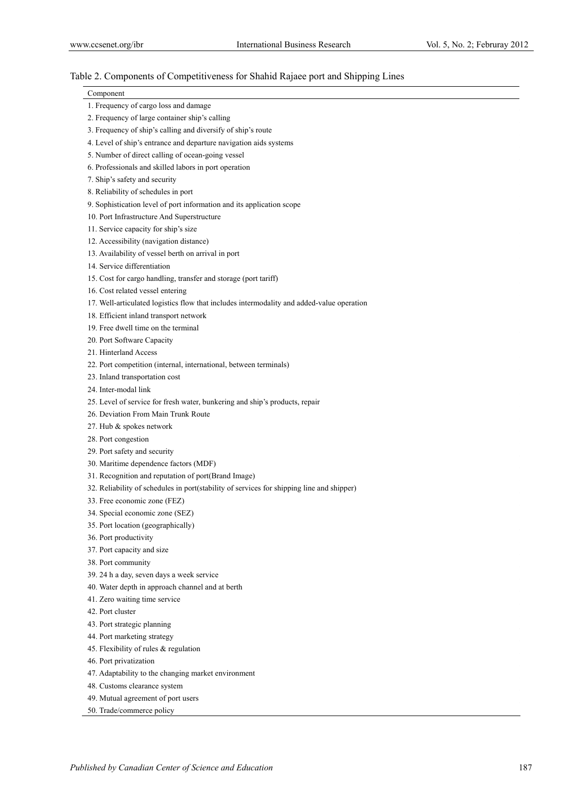# Table 2. Components of Competitiveness for Shahid Rajaee port and Shipping Lines

| Component                                                                                 |
|-------------------------------------------------------------------------------------------|
| 1. Frequency of cargo loss and damage                                                     |
| 2. Frequency of large container ship's calling                                            |
| 3. Frequency of ship's calling and diversify of ship's route                              |
| 4. Level of ship's entrance and departure navigation aids systems                         |
| 5. Number of direct calling of ocean-going vessel                                         |
| 6. Professionals and skilled labors in port operation                                     |
| 7. Ship's safety and security                                                             |
| 8. Reliability of schedules in port                                                       |
| 9. Sophistication level of port information and its application scope                     |
| 10. Port Infrastructure And Superstructure                                                |
| 11. Service capacity for ship's size                                                      |
| 12. Accessibility (navigation distance)                                                   |
| 13. Availability of vessel berth on arrival in port                                       |
| 14. Service differentiation                                                               |
| 15. Cost for cargo handling, transfer and storage (port tariff)                           |
| 16. Cost related vessel entering                                                          |
| 17. Well-articulated logistics flow that includes intermodality and added-value operation |
| 18. Efficient inland transport network                                                    |
| 19. Free dwell time on the terminal                                                       |
| 20. Port Software Capacity                                                                |
| 21. Hinterland Access                                                                     |
| 22. Port competition (internal, international, between terminals)                         |
| 23. Inland transportation cost                                                            |
| 24. Inter-modal link                                                                      |
| 25. Level of service for fresh water, bunkering and ship's products, repair               |
| 26. Deviation From Main Trunk Route                                                       |
| 27. Hub & spokes network                                                                  |
| 28. Port congestion                                                                       |
| 29. Port safety and security                                                              |
| 30. Maritime dependence factors (MDF)                                                     |
| 31. Recognition and reputation of port(Brand Image)                                       |
| 32. Reliability of schedules in port(stability of services for shipping line and shipper) |
| 33. Free economic zone (FEZ)                                                              |
| 34. Special economic zone (SEZ)                                                           |
| 35. Port location (geographically)                                                        |
| 36. Port productivity                                                                     |
| 37. Port capacity and size                                                                |
| 38. Port community                                                                        |
| 39. 24 h a day, seven days a week service                                                 |
| 40. Water depth in approach channel and at berth                                          |
| 41. Zero waiting time service                                                             |
| 42. Port cluster                                                                          |
| 43. Port strategic planning                                                               |
| 44. Port marketing strategy                                                               |
| 45. Flexibility of rules & regulation                                                     |
| 46. Port privatization                                                                    |
| 47. Adaptability to the changing market environment                                       |
| 48. Customs clearance system                                                              |
| 49. Mutual agreement of port users                                                        |

50. Trade/commerce policy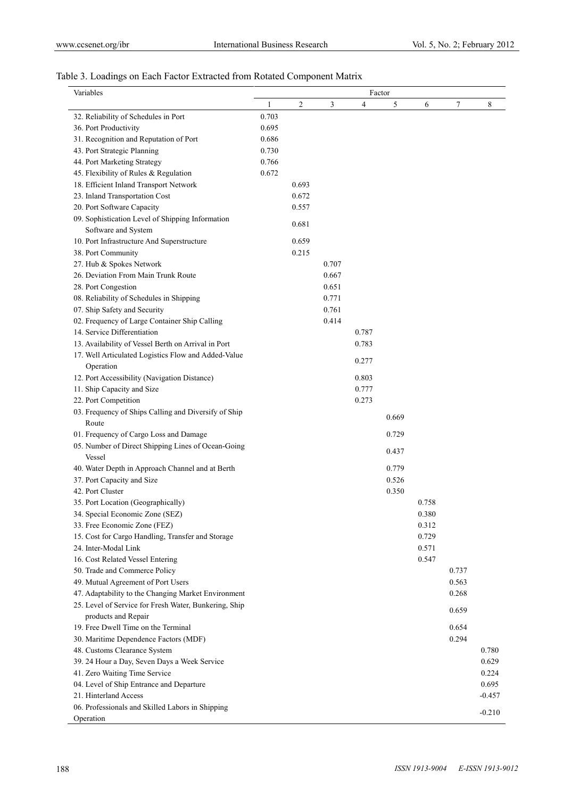# Table 3. Loadings on Each Factor Extracted from Rotated Component Matrix

| Variables                                             | Factor |       |       |       |       |       |       |          |
|-------------------------------------------------------|--------|-------|-------|-------|-------|-------|-------|----------|
|                                                       | 1      | 2     | 3     | 4     | 5     | 6     | 7     | 8        |
| 32. Reliability of Schedules in Port                  | 0.703  |       |       |       |       |       |       |          |
| 36. Port Productivity                                 | 0.695  |       |       |       |       |       |       |          |
| 31. Recognition and Reputation of Port                | 0.686  |       |       |       |       |       |       |          |
| 43. Port Strategic Planning                           | 0.730  |       |       |       |       |       |       |          |
| 44. Port Marketing Strategy                           | 0.766  |       |       |       |       |       |       |          |
| 45. Flexibility of Rules & Regulation                 | 0.672  |       |       |       |       |       |       |          |
| 18. Efficient Inland Transport Network                |        | 0.693 |       |       |       |       |       |          |
| 23. Inland Transportation Cost                        |        | 0.672 |       |       |       |       |       |          |
| 20. Port Software Capacity                            |        | 0.557 |       |       |       |       |       |          |
| 09. Sophistication Level of Shipping Information      |        |       |       |       |       |       |       |          |
| Software and System                                   |        | 0.681 |       |       |       |       |       |          |
| 10. Port Infrastructure And Superstructure            |        | 0.659 |       |       |       |       |       |          |
| 38. Port Community                                    |        | 0.215 |       |       |       |       |       |          |
| 27. Hub & Spokes Network                              |        |       | 0.707 |       |       |       |       |          |
| 26. Deviation From Main Trunk Route                   |        |       | 0.667 |       |       |       |       |          |
| 28. Port Congestion                                   |        |       | 0.651 |       |       |       |       |          |
| 08. Reliability of Schedules in Shipping              |        |       | 0.771 |       |       |       |       |          |
| 07. Ship Safety and Security                          |        |       | 0.761 |       |       |       |       |          |
| 02. Frequency of Large Container Ship Calling         |        |       | 0.414 |       |       |       |       |          |
| 14. Service Differentiation                           |        |       |       | 0.787 |       |       |       |          |
| 13. Availability of Vessel Berth on Arrival in Port   |        |       |       | 0.783 |       |       |       |          |
| 17. Well Articulated Logistics Flow and Added-Value   |        |       |       |       |       |       |       |          |
| Operation                                             |        |       |       | 0.277 |       |       |       |          |
| 12. Port Accessibility (Navigation Distance)          |        |       |       | 0.803 |       |       |       |          |
| 11. Ship Capacity and Size                            |        |       |       | 0.777 |       |       |       |          |
| 22. Port Competition                                  |        |       |       | 0.273 |       |       |       |          |
| 03. Frequency of Ships Calling and Diversify of Ship  |        |       |       |       |       |       |       |          |
| Route                                                 |        |       |       |       | 0.669 |       |       |          |
| 01. Frequency of Cargo Loss and Damage                |        |       |       |       | 0.729 |       |       |          |
| 05. Number of Direct Shipping Lines of Ocean-Going    |        |       |       |       |       |       |       |          |
| Vessel                                                |        |       |       |       | 0.437 |       |       |          |
| 40. Water Depth in Approach Channel and at Berth      |        |       |       |       | 0.779 |       |       |          |
| 37. Port Capacity and Size                            |        |       |       |       | 0.526 |       |       |          |
| 42. Port Cluster                                      |        |       |       |       | 0.350 |       |       |          |
| 35. Port Location (Geographically)                    |        |       |       |       |       | 0.758 |       |          |
| 34. Special Economic Zone (SEZ)                       |        |       |       |       |       | 0.380 |       |          |
| 33. Free Economic Zone (FEZ)                          |        |       |       |       |       | 0.312 |       |          |
| 15. Cost for Cargo Handling, Transfer and Storage     |        |       |       |       |       | 0.729 |       |          |
| 24. Inter-Modal Link                                  |        |       |       |       |       | 0.571 |       |          |
|                                                       |        |       |       |       |       | 0.547 |       |          |
| 16. Cost Related Vessel Entering                      |        |       |       |       |       |       |       |          |
| 50. Trade and Commerce Policy                         |        |       |       |       |       |       | 0.737 |          |
| 49. Mutual Agreement of Port Users                    |        |       |       |       |       |       | 0.563 |          |
| 47. Adaptability to the Changing Market Environment   |        |       |       |       |       |       | 0.268 |          |
| 25. Level of Service for Fresh Water, Bunkering, Ship |        |       |       |       |       |       | 0.659 |          |
| products and Repair                                   |        |       |       |       |       |       |       |          |
| 19. Free Dwell Time on the Terminal                   |        |       |       |       |       |       | 0.654 |          |
| 30. Maritime Dependence Factors (MDF)                 |        |       |       |       |       |       | 0.294 |          |
| 48. Customs Clearance System                          |        |       |       |       |       |       |       | 0.780    |
| 39. 24 Hour a Day, Seven Days a Week Service          |        |       |       |       |       |       |       | 0.629    |
| 41. Zero Waiting Time Service                         |        |       |       |       |       |       |       | 0.224    |
| 04. Level of Ship Entrance and Departure              |        |       |       |       |       |       |       | 0.695    |
| 21. Hinterland Access                                 |        |       |       |       |       |       |       | $-0.457$ |
| 06. Professionals and Skilled Labors in Shipping      |        |       |       |       |       |       |       | $-0.210$ |
| Operation                                             |        |       |       |       |       |       |       |          |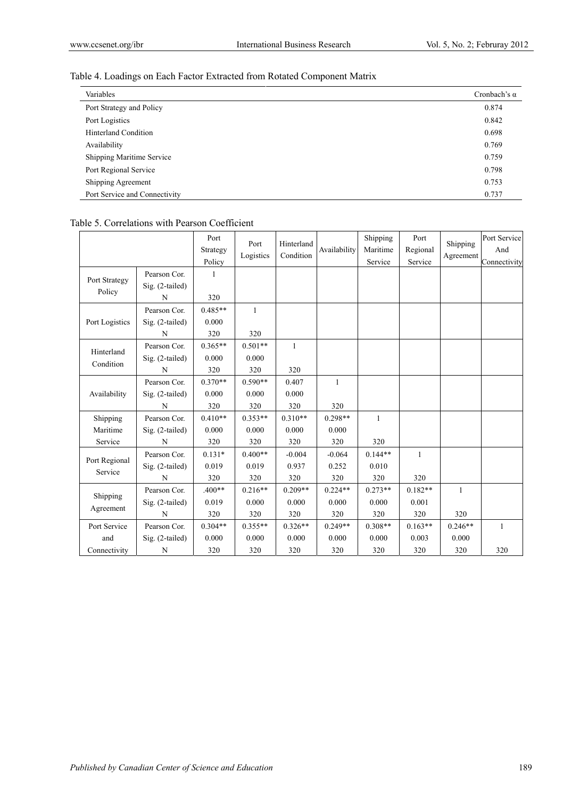## Table 4. Loadings on Each Factor Extracted from Rotated Component Matrix

| Variables                     | Cronbach's $\alpha$ |
|-------------------------------|---------------------|
| Port Strategy and Policy      | 0.874               |
| Port Logistics                | 0.842               |
| <b>Hinterland Condition</b>   | 0.698               |
| Availability                  | 0.769               |
| Shipping Maritime Service     | 0.759               |
| Port Regional Service         | 0.798               |
| Shipping Agreement            | 0.753               |
| Port Service and Connectivity | 0.737               |

# Table 5. Correlations with Pearson Coefficient

|                                     |                                      | Port<br>Strategy<br>Policy | Port<br>Logistics         | Hinterland<br>Condition   | Availability              | Shipping<br>Maritime<br>Service | Port<br>Regional<br>Service | Shipping<br>Agreement     | Port Service<br>And<br>Connectivity |
|-------------------------------------|--------------------------------------|----------------------------|---------------------------|---------------------------|---------------------------|---------------------------------|-----------------------------|---------------------------|-------------------------------------|
| Port Strategy<br>Policy             | Pearson Cor.<br>Sig. (2-tailed)<br>N | 1<br>320                   |                           |                           |                           |                                 |                             |                           |                                     |
| Port Logistics                      | Pearson Cor.<br>Sig. (2-tailed)<br>N | $0.485**$<br>0.000<br>320  | $\mathbf{1}$<br>320       |                           |                           |                                 |                             |                           |                                     |
| Hinterland<br>Condition             | Pearson Cor.<br>Sig. (2-tailed)<br>N | $0.365**$<br>0.000<br>320  | $0.501**$<br>0.000<br>320 | 1<br>320                  |                           |                                 |                             |                           |                                     |
| Availability                        | Pearson Cor.<br>Sig. (2-tailed)<br>N | $0.370**$<br>0.000<br>320  | $0.590**$<br>0.000<br>320 | 0.407<br>0.000<br>320     | 1<br>320                  |                                 |                             |                           |                                     |
| Shipping<br>Maritime<br>Service     | Pearson Cor.<br>Sig. (2-tailed)<br>N | $0.410**$<br>0.000<br>320  | $0.353**$<br>0.000<br>320 | $0.310**$<br>0.000<br>320 | $0.298**$<br>0.000<br>320 | $\mathbf{1}$<br>320             |                             |                           |                                     |
| Port Regional<br>Service            | Pearson Cor.<br>Sig. (2-tailed)<br>N | $0.131*$<br>0.019<br>320   | $0.400**$<br>0.019<br>320 | $-0.004$<br>0.937<br>320  | $-0.064$<br>0.252<br>320  | $0.144**$<br>0.010<br>320       | 1<br>320                    |                           |                                     |
| Shipping<br>Agreement               | Pearson Cor.<br>Sig. (2-tailed)<br>N | $.400**$<br>0.019<br>320   | $0.216**$<br>0.000<br>320 | $0.209**$<br>0.000<br>320 | $0.224**$<br>0.000<br>320 | $0.273**$<br>0.000<br>320       | $0.182**$<br>0.001<br>320   | $\mathbf{1}$<br>320       |                                     |
| Port Service<br>and<br>Connectivity | Pearson Cor.<br>Sig. (2-tailed)<br>N | $0.304**$<br>0.000<br>320  | $0.355**$<br>0.000<br>320 | $0.326**$<br>0.000<br>320 | $0.249**$<br>0.000<br>320 | $0.308**$<br>0.000<br>320       | $0.163**$<br>0.003<br>320   | $0.246**$<br>0.000<br>320 | $\mathbf{1}$<br>320                 |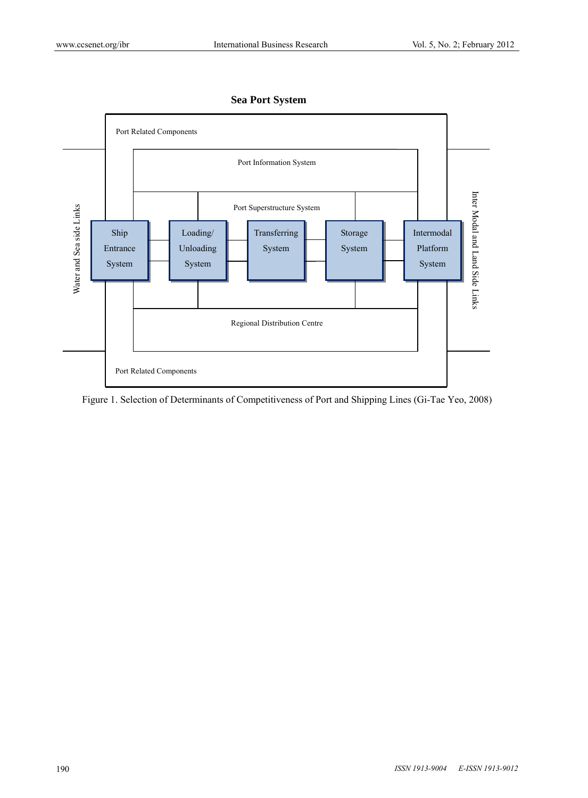

# **Sea Port System**

Figure 1. Selection of Determinants of Competitiveness of Port and Shipping Lines (Gi-Tae Yeo, 2008)